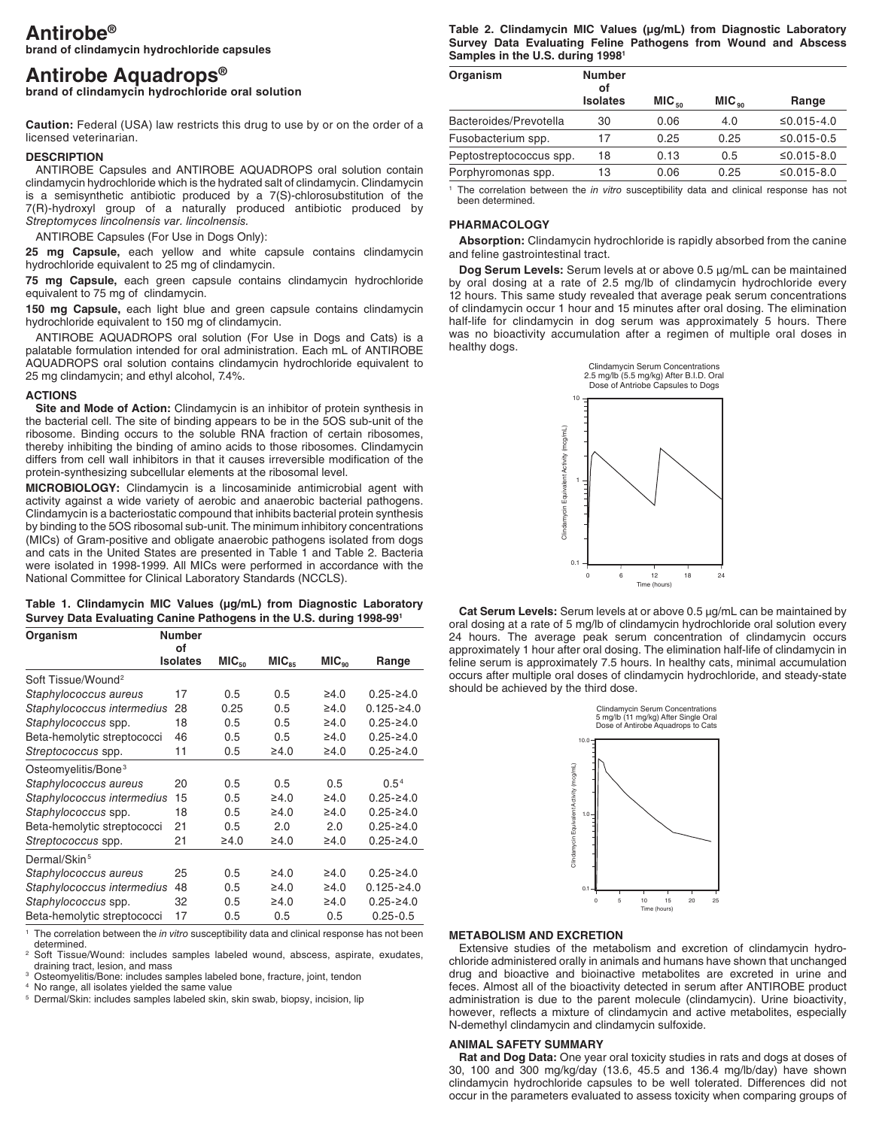# **Antirobe®**

**brand of clindamycin hydrochloride capsules**

# **Antirobe Aquadrops®**

**brand of clindamycin hydrochloride oral solution**

**Caution:** Federal (USA) law restricts this drug to use by or on the order of a licensed veterinarian.

# **DESCRIPTION**

ANTIROBE Capsules and ANTIROBE AQUADROPS oral solution contain clindamycin hydrochloride which is the hydrated salt of clindamycin. Clindamycin is a semisynthetic antibiotic produced by a 7(S)-chlorosubstitution of the 7(R)-hydroxyl group of a naturally produced antibiotic produced by *Streptomyces lincolnensis var. lincolnensis.*

ANTIROBE Capsules (For Use in Dogs Only):

**25 mg Capsule,** each yellow and white capsule contains clindamycin hydrochloride equivalent to 25 mg of clindamycin.

**75 mg Capsule,** each green capsule contains clindamycin hydrochloride equivalent to 75 mg of clindamycin.

**150 mg Capsule,** each light blue and green capsule contains clindamycin hydrochloride equivalent to 150 mg of clindamycin.

ANTIROBE AQUADROPS oral solution (For Use in Dogs and Cats) is a palatable formulation intended for oral administration. Each mL of ANTIROBE AQUADROPS oral solution contains clindamycin hydrochloride equivalent to 25 mg clindamycin; and ethyl alcohol, 7.4%.

# **ACTIONS**

**Site and Mode of Action:** Clindamycin is an inhibitor of protein synthesis in the bacterial cell. The site of binding appears to be in the 5OS sub-unit of the ribosome. Binding occurs to the soluble RNA fraction of certain ribosomes, thereby inhibiting the binding of amino acids to those ribosomes. Clindamycin differs from cell wall inhibitors in that it causes irreversible modification of the protein-synthesizing subcellular elements at the ribosomal level.

**MICROBIOLOGY:** Clindamycin is a lincosaminide antimicrobial agent with activity against a wide variety of aerobic and anaerobic bacterial pathogens. Clindamycin is a bacteriostatic compound that inhibits bacterial protein synthesis by binding to the 5OS ribosomal sub-unit. The minimum inhibitory concentrations (MICs) of Gram-positive and obligate anaerobic pathogens isolated from dogs and cats in the United States are presented in Table 1 and Table 2. Bacteria were isolated in 1998-1999. All MICs were performed in accordance with the National Committee for Clinical Laboratory Standards (NCCLS).

|  | Table 1. Clindamycin MIC Values (µg/mL) from Diagnostic Laboratory  |  |  |  |
|--|---------------------------------------------------------------------|--|--|--|
|  | Survey Data Evaluating Canine Pathogens in the U.S. during 1998-991 |  |  |  |

| Organism                        | <b>Number</b>         |                   |                   |                   |                  |  |  |
|---------------------------------|-----------------------|-------------------|-------------------|-------------------|------------------|--|--|
|                                 | of<br><b>Isolates</b> | MIC <sub>50</sub> | MIC <sub>85</sub> | MIC <sub>90</sub> | Range            |  |  |
| Soft Tissue/Wound <sup>2</sup>  |                       |                   |                   |                   |                  |  |  |
| Staphylococcus aureus           | 17                    | 0.5               | 0.5               | $\geq 4.0$        | $0.25 - 24.0$    |  |  |
| Staphylococcus intermedius      | 28                    | 0.25              | 0.5               | $\geq 4.0$        | $0.125 - 24.0$   |  |  |
| Staphylococcus spp.             | 18                    | 0.5               | 0.5               | $\geq 4.0$        | $0.25 - 24.0$    |  |  |
| Beta-hemolytic streptococci     | 46                    | 0.5               | 0.5               | $\geq 4.0$        | $0.25 - 24.0$    |  |  |
| Streptococcus spp.              | 11                    | 0.5               | ≥4.0              | ≥4.0              | $0.25 - 24.0$    |  |  |
| Osteomyelitis/Bone <sup>3</sup> |                       |                   |                   |                   |                  |  |  |
| Staphylococcus aureus           | 20                    | 0.5               | 0.5               | 0.5               | 0.5 <sup>4</sup> |  |  |
| Staphylococcus intermedius      | 15                    | 0.5               | $\geq 4.0$        | $\geq 4.0$        | $0.25 - 24.0$    |  |  |
| Staphylococcus spp.             | 18                    | 0.5               | $\geq 4.0$        | $\geq 4.0$        | $0.25 - 24.0$    |  |  |
| Beta-hemolytic streptococci     | 21                    | 0.5               | 2.0               | 2.0               | $0.25 - 24.0$    |  |  |
| Streptococcus spp.              | 21                    | $\geq 4.0$        | ≥4.0              | ≥4.0              | $0.25 - 24.0$    |  |  |
| Dermal/Skin <sup>5</sup>        |                       |                   |                   |                   |                  |  |  |
| Staphylococcus aureus           | 25                    | 0.5               | $\geq 4.0$        | $\geq 4.0$        | $0.25 - 24.0$    |  |  |
| Staphylococcus intermedius      | 48                    | 0.5               | $\geq 4.0$        | $\geq 4.0$        | $0.125 - 24.0$   |  |  |
| Staphylococcus spp.             | 32                    | 0.5               | ≥4.0              | $\geq 4.0$        | $0.25 - 24.0$    |  |  |
| Beta-hemolytic streptococci     | 17                    | 0.5               | 0.5               | 0.5               | $0.25 - 0.5$     |  |  |

<sup>1</sup> The correlation between the *in vitro* susceptibility data and clinical response has not been determined.

<sup>2</sup> Soft Tissue/Wound: includes samples labeled wound, abscess, aspirate, exudates, draining tract, lesion, and mass

Osteomyelitis/Bone: includes samples labeled bone, fracture, joint, tendon

No range, all isolates yielded the same value

<sup>5</sup> Dermal/Skin: includes samples labeled skin, skin swab, biopsy, incision, lip

Table 2. Clindamycin MIC Values (µg/mL) from Diagnostic Laboratory **Survey Data Evaluating Feline Pathogens from Wound and Abscess Samples in the U.S. during 19981**

| Organism                | <b>Number</b><br>οf |                   |                   |            |
|-------------------------|---------------------|-------------------|-------------------|------------|
|                         | <b>Isolates</b>     | MIC <sub>50</sub> | MIC <sub>on</sub> | Range      |
| Bacteroides/Prevotella  | 30                  | 0.06              | 4.0               | ≤0.015-4.0 |
| Fusobacterium spp.      | 17                  | 0.25              | 0.25              | ≤0.015-0.5 |
| Peptostreptococcus spp. | 18                  | 0.13              | 0.5               | ≤0.015-8.0 |
| Porphyromonas spp.      | 13                  | 0.06              | 0.25              | ≤0.015-8.0 |

<sup>1</sup> The correlation between the *in vitro* susceptibility data and clinical response has not been determined.

# **PHARMACOLOGY**

**Absorption:** Clindamycin hydrochloride is rapidly absorbed from the canine and feline gastrointestinal tract.

**Dog Serum Levels:** Serum levels at or above 0.5 μg/mL can be maintained by oral dosing at a rate of 2.5 mg/lb of clindamycin hydrochloride every 12 hours. This same study revealed that average peak serum concentrations of clindamycin occur 1 hour and 15 minutes after oral dosing. The elimination half-life for clindamycin in dog serum was approximately 5 hours. There was no bioactivity accumulation after a regimen of multiple oral doses in healthy dogs.



**Cat Serum Levels:** Serum levels at or above 0.5 μg/mL can be maintained by oral dosing at a rate of 5 mg/lb of clindamycin hydrochloride oral solution every 24 hours. The average peak serum concentration of clindamycin occurs approximately 1 hour after oral dosing. The elimination half-life of clindamycin in feline serum is approximately 7.5 hours. In healthy cats, minimal accumulation occurs after multiple oral doses of clindamycin hydrochloride, and steady-state should be achieved by the third dose.



# **METABOLISM AND EXCRETION**

Extensive studies of the metabolism and excretion of clindamycin hydrochloride administered orally in animals and humans have shown that unchanged drug and bioactive and bioinactive metabolites are excreted in urine and feces. Almost all of the bioactivity detected in serum after ANTIROBE product administration is due to the parent molecule (clindamycin). Urine bioactivity, however, reflects a mixture of clindamycin and active metabolites, especially N-demethyl clindamycin and clindamycin sulfoxide.

#### **ANIMAL SAFETY SUMMARY**

**Rat and Dog Data:** One year oral toxicity studies in rats and dogs at doses of 30, 100 and 300 mg/kg/day (13.6, 45.5 and 136.4 mg/lb/day) have shown clindamycin hydrochloride capsules to be well tolerated. Differences did not occur in the parameters evaluated to assess toxicity when comparing groups of